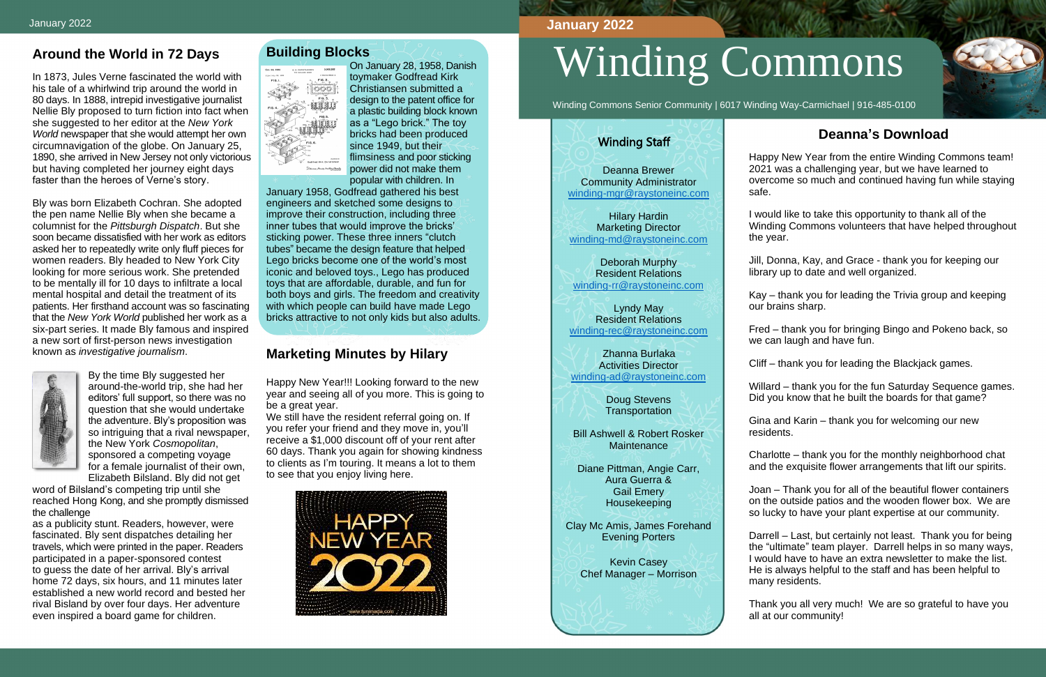## **Around the World in 72 Days**

In 1873, Jules Verne fascinated the world with his tale of a whirlwind trip around the world in 80 days. In 1888, intrepid investigative journalist Nellie Bly proposed to turn fiction into fact when she suggested to her editor at the *New York World* newspaper that she would attempt her own circumnavigation of the globe. On January 25, 1890, she arrived in New Jersey not only victorious but having completed her journey eight days faster than the heroes of Verne's story.

Bly was born Elizabeth Cochran. She adopted the pen name Nellie Bly when she became a columnist for the *Pittsburgh Dispatch*. But she soon became dissatisfied with her work as editors asked her to repeatedly write only fluff pieces for women readers. Bly headed to New York City looking for more serious work. She pretended to be mentally ill for 10 days to infiltrate a local mental hospital and detail the treatment of its patients. Her firsthand account was so fascinating that the *New York World* published her work as a six-part series. It made Bly famous and inspired a new sort of first-person news investigation known as *investigative journalism*.



By the time Bly suggested her around-the-world trip, she had her editors' full support, so there was no question that she would undertake the adventure. Bly's proposition was so intriguing that a rival newspaper, the New York *Cosmopolitan*, sponsored a competing voyage for a female journalist of their own, Elizabeth Bilsland. Bly did not get

word of Bilsland's competing trip until she reached Hong Kong, and she promptly dismissed the challenge

as a publicity stunt. Readers, however, were fascinated. Bly sent dispatches detailing her travels, which were printed in the paper. Readers participated in a paper-sponsored contest to guess the date of her arrival. Bly's arrival home 72 days, six hours, and 11 minutes later established a new world record and bested her rival Bisland by over four days. Her adventure even inspired a board game for children.

#### **Building Blocks**



On January 28, 1958, Danish toymaker Godfread Kirk Christiansen submitted a design to the patent office for a plastic building block known as a "Lego brick." The toy bricks had been produced since 1949, but their flimsiness and poor sticking power did not make them popular with children. In

> Doug Stevens **Transportation**

Bill Ashwell & Robert Rosker **Maintenance** 

January 1958, Godfread gathered his best engineers and sketched some designs to improve their construction, including three inner tubes that would improve the bricks' sticking power. These three inners "clutch tubes" became the design feature that helped Lego bricks become one of the world's most iconic and beloved toys., Lego has produced toys that are affordable, durable, and fun for both boys and girls. The freedom and creativity with which people can build have made Lego bricks attractive to not only kids but also adults.

### **Marketing Minutes by Hilary**

Happy New Year!!! Looking forward to the new year and seeing all of you more. This is going to be a great year.

We still have the resident referral going on. If you refer your friend and they move in, you'll receive a \$1,000 discount off of your rent after 60 days. Thank you again for showing kindness to clients as I'm touring. It means a lot to them to see that you enjoy living here.



# Winding Commons

Winding Commons Senior Community | 6017 Winding Way-Carmichael | 916-485-0100

# **Deanna's Download**

Happy New Year from the entire Winding Commons team! 2021 was a challenging year, but we have learned to overcome so much and continued having fun while staying

safe.

I would like to take this opportunity to thank all of the Winding Commons volunteers that have helped throughout the year.

Jill, Donna, Kay, and Grace - thank you for keeping our library up to date and well organized.

Kay – thank you for leading the Trivia group and keeping our brains sharp.

Fred – thank you for bringing Bingo and Pokeno back, so we can laugh and have fun.

Cliff – thank you for leading the Blackjack games.

Willard – thank you for the fun Saturday Sequence games. Did you know that he built the boards for that game?

Gina and Karin – thank you for welcoming our new residents.

Charlotte – thank you for the monthly neighborhood chat and the exquisite flower arrangements that lift our spirits.

Joan – Thank you for all of the beautiful flower containers on the outside patios and the wooden flower box. We are so lucky to have your plant expertise at our community.

Darrell – Last, but certainly not least. Thank you for being the "ultimate" team player. Darrell helps in so many ways, I would have to have an extra newsletter to make the list. He is always helpful to the staff and has been helpful to many residents.

Thank you all very much! We are so grateful to have you all at our community!



#### **January 2022**

#### Winding Staff

Deanna Brewer Community Administrator [winding-mgr@raystoneinc.com](mailto:winding-mgr@raystoneinc.com) 

Hilary Hardin Marketing Director [winding-md@raystoneinc.com](mailto:winding-md@raystoneinc.com)

Deborah Murphy Resident Relations [winding-rr@raystoneinc.com](mailto:winding-rr@raystoneinc.com)

Lyndy May Resident Relations [winding-rec@raystoneinc.com](mailto:winding-rec@raystoneinc.com)

 Zhanna Burlaka Activities Director [winding-ad@raystoneinc.com](mailto:winding-ad@raystoneinc.com)

Diane Pittman, Angie Carr, Aura Guerra & Gail Emery Housekeeping

Clay Mc Amis, James Forehand Evening Porters

Kevin Casey Chef Manager – Morrison